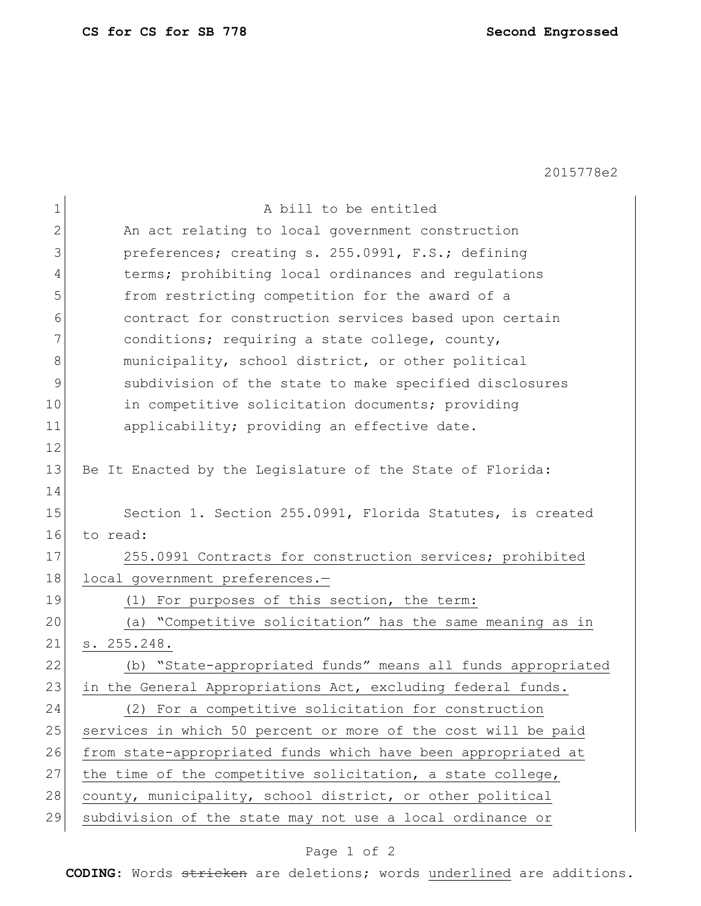2015778e2

| 1           | A bill to be entitled                                          |
|-------------|----------------------------------------------------------------|
| 2           | An act relating to local government construction               |
| 3           | preferences; creating s. 255.0991, F.S.; defining              |
| 4           | terms; prohibiting local ordinances and regulations            |
| 5           | from restricting competition for the award of a                |
| 6           | contract for construction services based upon certain          |
| 7           | conditions; requiring a state college, county,                 |
| 8           | municipality, school district, or other political              |
| $\mathsf 9$ | subdivision of the state to make specified disclosures         |
| 10          | in competitive solicitation documents; providing               |
| 11          | applicability; providing an effective date.                    |
| 12          |                                                                |
| 13          | Be It Enacted by the Legislature of the State of Florida:      |
| 14          |                                                                |
| 15          | Section 1. Section 255.0991, Florida Statutes, is created      |
| 16          | to read:                                                       |
| 17          | 255.0991 Contracts for construction services; prohibited       |
| 18          | local government preferences.-                                 |
| 19          | (1) For purposes of this section, the term:                    |
| 20          | (a) "Competitive solicitation" has the same meaning as in      |
| 21          | s. 255.248.                                                    |
| 22          | "State-appropriated funds" means all funds appropriated<br>(b) |
| 23          | in the General Appropriations Act, excluding federal funds.    |
| 24          | (2) For a competitive solicitation for construction            |
| 25          | services in which 50 percent or more of the cost will be paid  |
| 26          | from state-appropriated funds which have been appropriated at  |
| 27          | the time of the competitive solicitation, a state college,     |
| 28          | county, municipality, school district, or other political      |
| 29          | subdivision of the state may not use a local ordinance or      |

## Page 1 of 2

**CODING**: Words stricken are deletions; words underlined are additions.